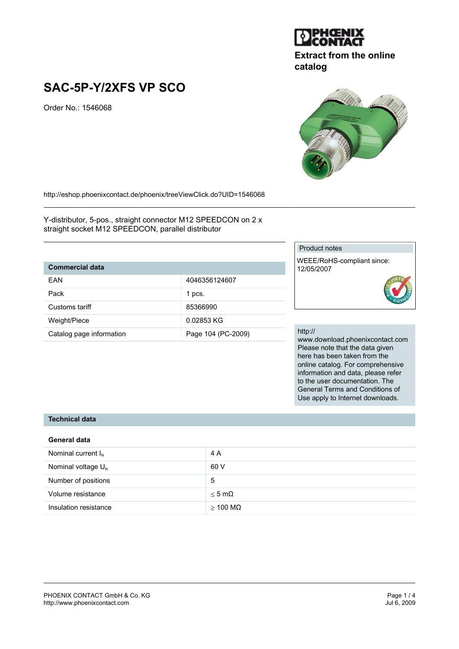

## **Extract from the online catalog**

# **SAC-5P-Y/2XFS VP SCO**

Order No.: 1546068

http://eshop.phoenixcontact.de/phoenix/treeViewClick.do?UID=1546068

Y-distributor, 5-pos., straight connector M12 SPEEDCON on 2 x straight socket M12 SPEEDCON, parallel distributor

# **Commercial data**

| FAN                      | 4046356124607      |
|--------------------------|--------------------|
| Pack                     | 1 pcs.             |
| Customs tariff           | 85366990           |
| Weight/Piece             | 0.02853 KG         |
| Catalog page information | Page 104 (PC-2009) |

#### Product notes

WEEE/RoHS-compliant since: 12/05/2007

#### http://

www.download.phoenixcontact.com Please note that the data given here has been taken from the online catalog. For comprehensive information and data, please refer to the user documentation. The General Terms and Conditions of Use apply to Internet downloads.

#### **Technical data**

#### **General data**

| Nominal current $I_N$   | 4 A              |
|-------------------------|------------------|
| Nominal voltage $U_{N}$ | 60 V             |
| Number of positions     | 5                |
| Volume resistance       | $<$ 5 m $\Omega$ |
| Insulation resistance   | $>$ 100 MQ       |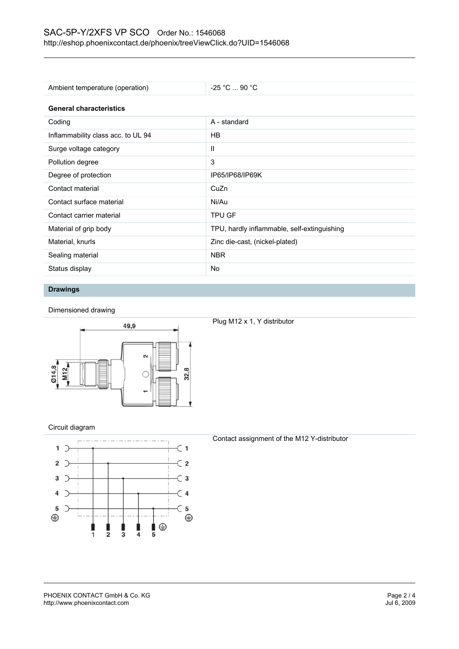# SAC-5P-Y/2XFS VP SCO Order No.: 1546068 http://eshop.phoenixcontact.de/phoenix/treeViewClick.do?UID=1546068

| Ambient temperature (operation)    | $-25$ °C  90 °C                             |  |
|------------------------------------|---------------------------------------------|--|
| <b>General characteristics</b>     |                                             |  |
| Coding                             | A - standard                                |  |
| Inflammability class acc. to UL 94 | HB.                                         |  |
| Surge voltage category             | Ш                                           |  |
| Pollution degree                   | 3                                           |  |
| Degree of protection               | IP65/IP68/IP69K                             |  |
| Contact material                   | CuZn                                        |  |
| Contact surface material           | Ni/Au                                       |  |
| Contact carrier material           | <b>TPU GF</b>                               |  |
| Material of grip body              | TPU, hardly inflammable, self-extinguishing |  |
| Material, knurls                   | Zinc die-cast, (nickel-plated)              |  |
| Sealing material                   | <b>NBR</b>                                  |  |
| Status display                     | No                                          |  |

#### **Drawings**

Dimensioned drawing



### Plug M12 x 1, Y distributor

#### Circuit diagram



#### Contact assignment of the M12 Y-distributor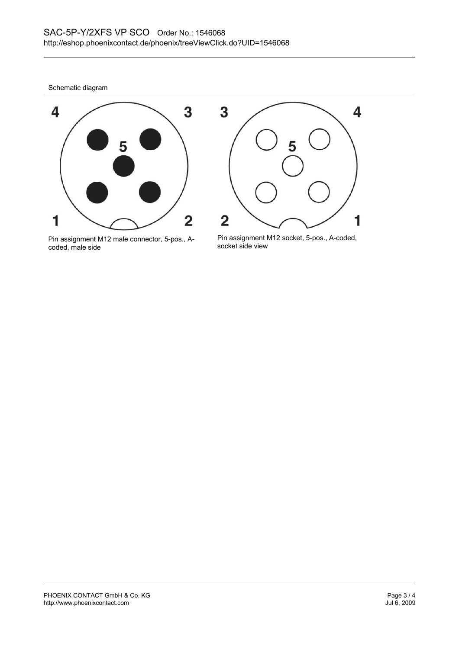Schematic diagram



Pin assignment M12 male connector, 5-pos., Acoded, male side



Pin assignment M12 socket, 5-pos., A-coded, socket side view